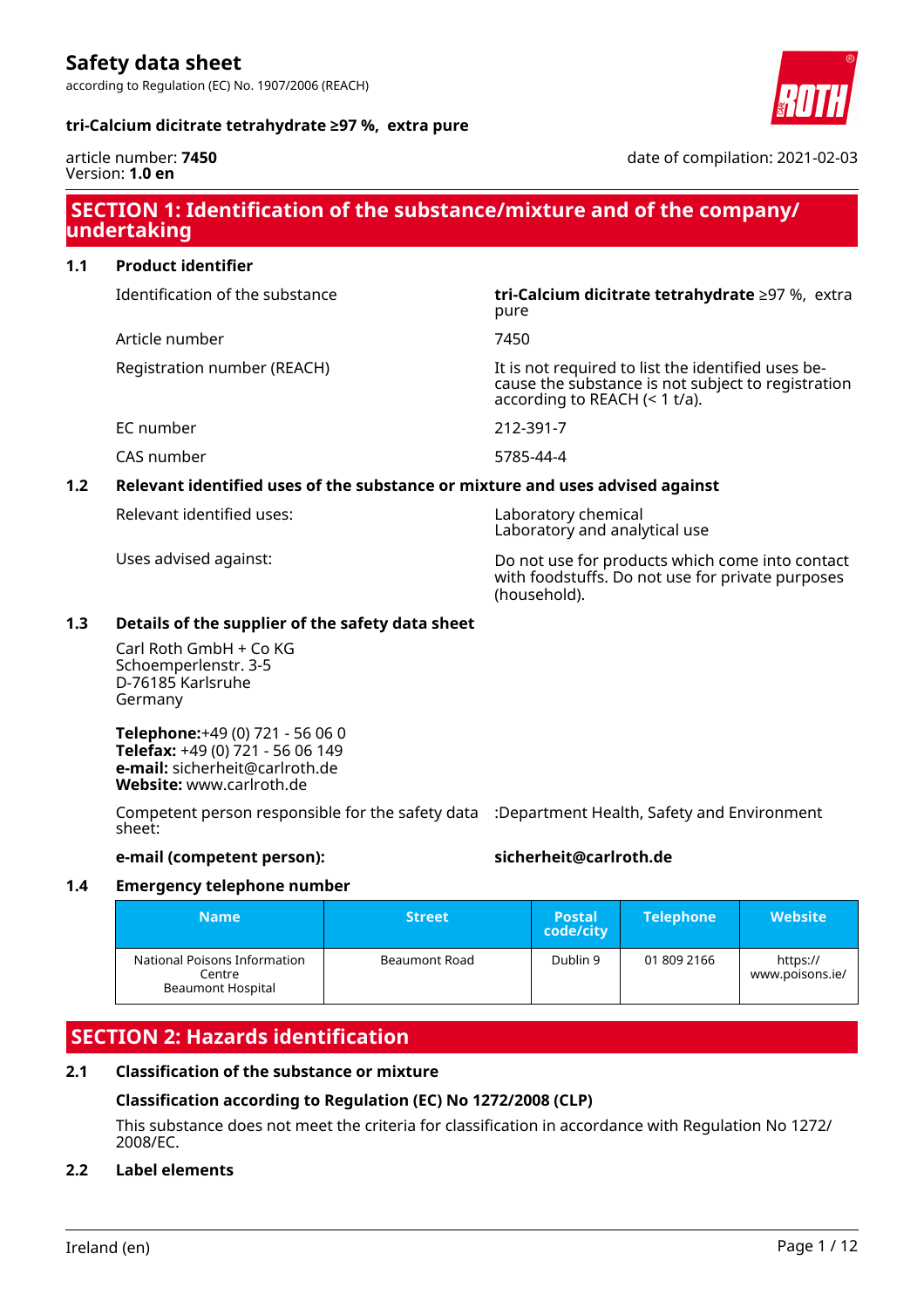according to Regulation (EC) No. 1907/2006 (REACH)

#### **tri-Calcium dicitrate tetrahydrate ≥97 %, extra pure**



article number: **7450** Version: **1.0 en**

date of compilation: 2021-02-03

# **SECTION 1: Identification of the substance/mixture and of the company/ undertaking**

pure

# **1.1 Product identifier**

Identification of the substance **tri-Calcium dicitrate tetrahydrate** ≥97 %, extra

Article number 7450

Registration number (REACH) It is not required to list the identified uses be-

EC number 212-391-7

CAS number 5785-44-4

### **1.2 Relevant identified uses of the substance or mixture and uses advised against**

Relevant identified uses: Laboratory chemical

Laboratory and analytical use

according to REACH (< 1 t/a).

Uses advised against: Do not use for products which come into contact with foodstuffs. Do not use for private purposes (household).

cause the substance is not subject to registration

### **1.3 Details of the supplier of the safety data sheet**

Carl Roth GmbH + Co KG Schoemperlenstr. 3-5 D-76185 Karlsruhe Germany

**Telephone:**+49 (0) 721 - 56 06 0 **Telefax:** +49 (0) 721 - 56 06 149 **e-mail:** sicherheit@carlroth.de **Website:** www.carlroth.de

Competent person responsible for the safety data :Department Health, Safety and Environment sheet:

# **e-mail (competent person): sicherheit@carlroth.de**

#### **1.4 Emergency telephone number**

| <b>Name</b>                                                        | <b>Street</b> | <b>Postal</b><br>code/city | <b>Telephone</b> | <b>Website</b>              |
|--------------------------------------------------------------------|---------------|----------------------------|------------------|-----------------------------|
| National Poisons Information<br>Centre<br><b>Beaumont Hospital</b> | Beaumont Road | Dublin 9                   | 01 809 2166      | https://<br>www.poisons.ie/ |

# **SECTION 2: Hazards identification**

### **2.1 Classification of the substance or mixture**

### **Classification according to Regulation (EC) No 1272/2008 (CLP)**

This substance does not meet the criteria for classification in accordance with Regulation No 1272/ 2008/EC.

### **2.2 Label elements**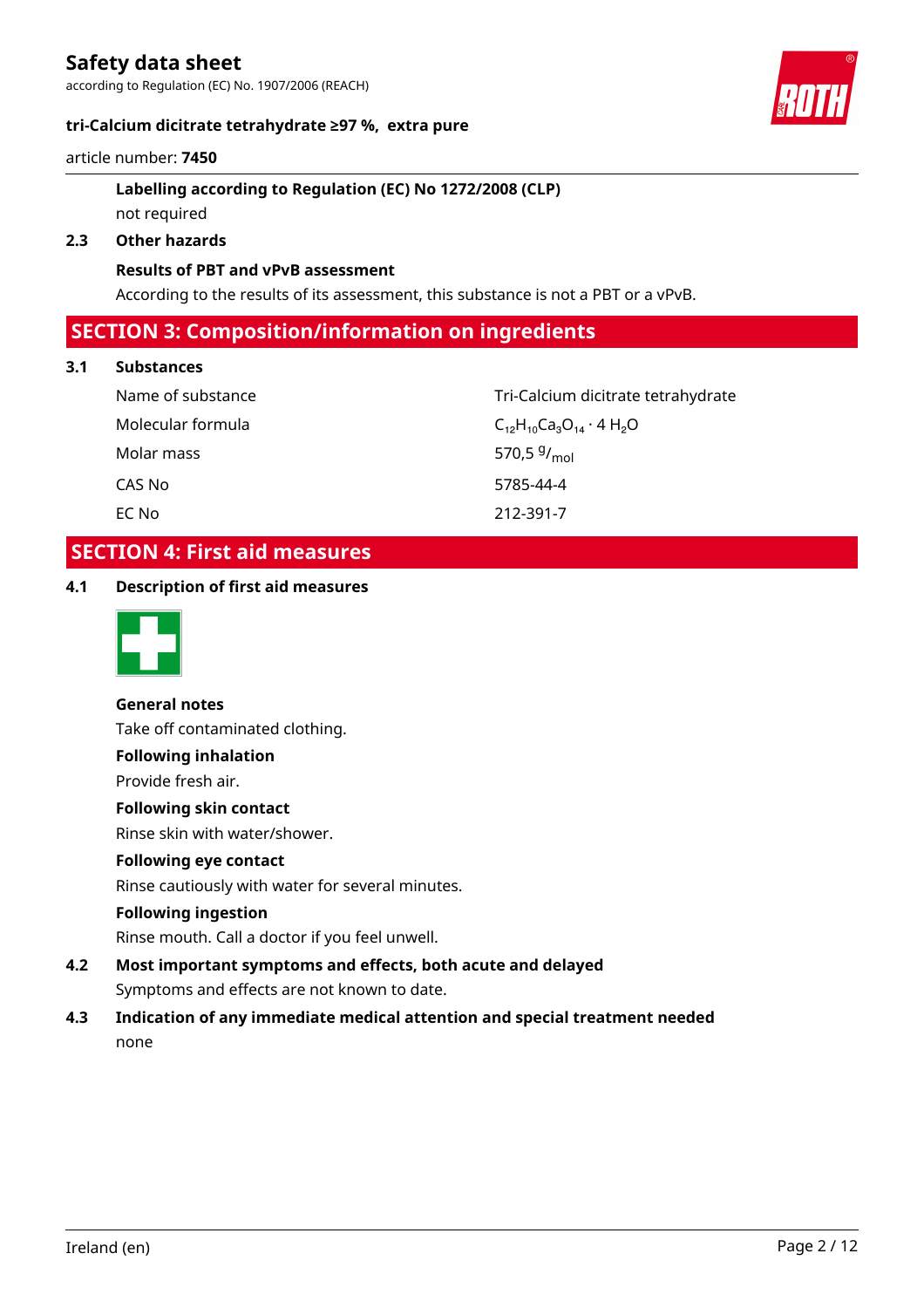according to Regulation (EC) No. 1907/2006 (REACH)

#### **tri-Calcium dicitrate tetrahydrate ≥97 %, extra pure**



#### article number: **7450**

# **Labelling according to Regulation (EC) No 1272/2008 (CLP)** not required

#### **2.3 Other hazards**

#### **Results of PBT and vPvB assessment**

According to the results of its assessment, this substance is not a PBT or a vPvB.

# **SECTION 3: Composition/information on ingredients**

#### **3.1 Substances**

| Name of substance | Tri-Calcium dicitrate tetrahydrate  |
|-------------------|-------------------------------------|
| Molecular formula | $C_{12}H_{10}Ca_3O_{14}\cdot 4H_2O$ |
| Molar mass        | 570,5 $9/_{\text{mol}}$             |
| CAS No            | 5785-44-4                           |
| EC No             | 212-391-7                           |

# **SECTION 4: First aid measures**

### **4.1 Description of first aid measures**



**General notes** Take off contaminated clothing.

# **Following inhalation**

Provide fresh air.

#### **Following skin contact**

Rinse skin with water/shower.

# **Following eye contact**

Rinse cautiously with water for several minutes.

#### **Following ingestion**

Rinse mouth. Call a doctor if you feel unwell.

# **4.2 Most important symptoms and effects, both acute and delayed** Symptoms and effects are not known to date.

**4.3 Indication of any immediate medical attention and special treatment needed** none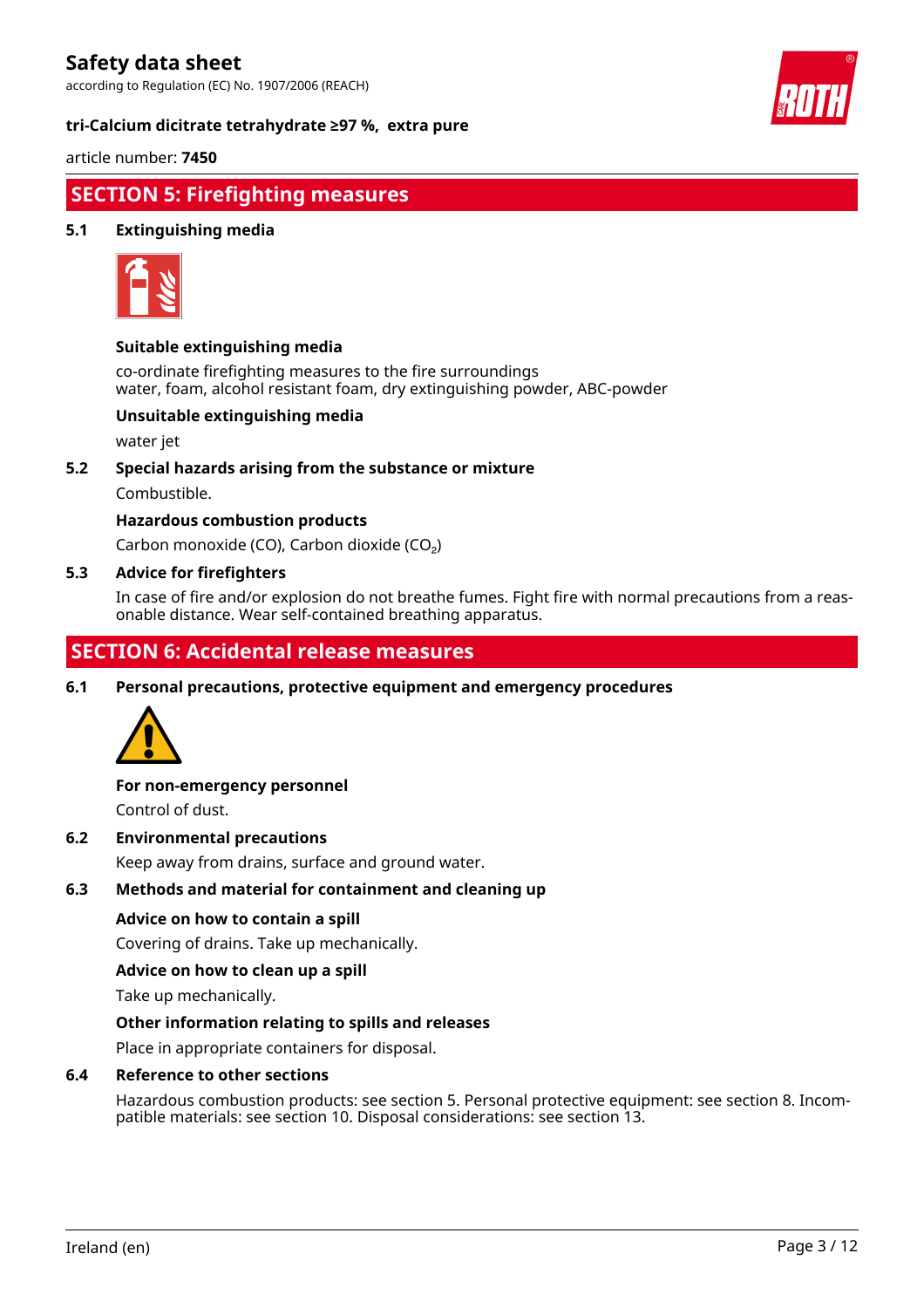according to Regulation (EC) No. 1907/2006 (REACH)

**tri-Calcium dicitrate tetrahydrate ≥97 %, extra pure**



article number: **7450**

# **SECTION 5: Firefighting measures**

### **5.1 Extinguishing media**



#### **Suitable extinguishing media**

co-ordinate firefighting measures to the fire surroundings water, foam, alcohol resistant foam, dry extinguishing powder, ABC-powder

### **Unsuitable extinguishing media**

water jet

#### **5.2 Special hazards arising from the substance or mixture**

Combustible.

### **Hazardous combustion products**

Carbon monoxide (CO), Carbon dioxide (CO₂)

#### **5.3 Advice for firefighters**

In case of fire and/or explosion do not breathe fumes. Fight fire with normal precautions from a reasonable distance. Wear self-contained breathing apparatus.

# **SECTION 6: Accidental release measures**

**6.1 Personal precautions, protective equipment and emergency procedures**



#### **For non-emergency personnel**

Control of dust.

#### **6.2 Environmental precautions**

Keep away from drains, surface and ground water.

#### **6.3 Methods and material for containment and cleaning up**

#### **Advice on how to contain a spill**

Covering of drains. Take up mechanically.

#### **Advice on how to clean up a spill**

Take up mechanically.

#### **Other information relating to spills and releases**

Place in appropriate containers for disposal.

#### **6.4 Reference to other sections**

Hazardous combustion products: see section 5. Personal protective equipment: see section 8. Incompatible materials: see section 10. Disposal considerations: see section 13.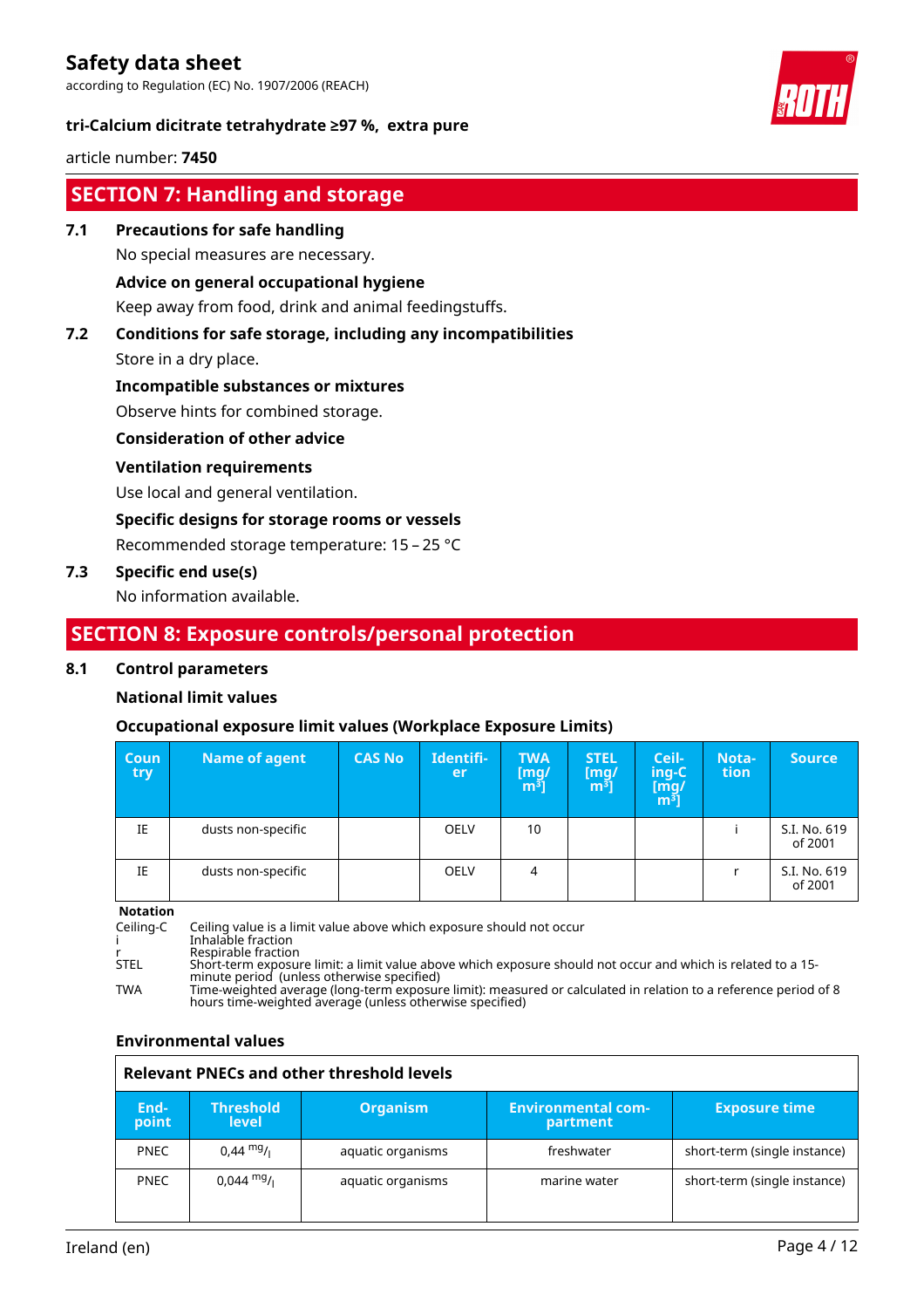according to Regulation (EC) No. 1907/2006 (REACH)





### article number: **7450**

# **SECTION 7: Handling and storage**

### **7.1 Precautions for safe handling**

No special measures are necessary.

### **Advice on general occupational hygiene**

Keep away from food, drink and animal feedingstuffs.

# **7.2 Conditions for safe storage, including any incompatibilities**

Store in a dry place.

### **Incompatible substances or mixtures**

Observe hints for combined storage.

### **Consideration of other advice**

### **Ventilation requirements**

Use local and general ventilation.

#### **Specific designs for storage rooms or vessels**

Recommended storage temperature: 15 – 25 °C

### **7.3 Specific end use(s)**

No information available.

# **SECTION 8: Exposure controls/personal protection**

#### **8.1 Control parameters**

### **National limit values**

### **Occupational exposure limit values (Workplace Exposure Limits)**

| Coun<br>try | Name of agent      | <b>CAS No</b> | Identifi-<br>er | <b>TWA</b><br>$\begin{bmatrix} \text{mg/} \\ \text{m}^3 \end{bmatrix}$ | <b>STEL</b><br>[mq/<br>m <sup>3</sup> | Ceil-<br>ing-C<br>$\begin{bmatrix} \bar{\text{mg}}/ \ \text{m}^3 \end{bmatrix}$ | Nota-<br>tion | <b>Source</b>           |
|-------------|--------------------|---------------|-----------------|------------------------------------------------------------------------|---------------------------------------|---------------------------------------------------------------------------------|---------------|-------------------------|
| IE          | dusts non-specific |               | <b>OELV</b>     | 10                                                                     |                                       |                                                                                 |               | S.I. No. 619<br>of 2001 |
| IE          | dusts non-specific |               | <b>OELV</b>     | 4                                                                      |                                       |                                                                                 |               | S.I. No. 619<br>of 2001 |

**Notation**

Ceiling-C Ceiling value is a limit value above which exposure should not occur i Inhalable fraction r Respirable fraction STEL Short-term exposure limit: a limit value above which exposure should not occur and which is related to a 15 minute period (unless otherwise specified) TWA Time-weighted average (long-term exposure limit): measured or calculated in relation to a reference period of 8 hours time-weighted average (unless otherwise specified)

### **Environmental values**

| Relevant PNECs and other threshold levels |                                  |                   |                                       |                              |  |  |  |
|-------------------------------------------|----------------------------------|-------------------|---------------------------------------|------------------------------|--|--|--|
| End-<br>point                             | <b>Threshold</b><br><b>level</b> | <b>Organism</b>   | <b>Environmental com-</b><br>partment | <b>Exposure time</b>         |  |  |  |
| <b>PNEC</b>                               | $0.44 \text{ mg}$ /              | aquatic organisms | freshwater                            | short-term (single instance) |  |  |  |
| <b>PNEC</b>                               | 0,044 <sup>mg</sup> /i           | aquatic organisms | marine water                          | short-term (single instance) |  |  |  |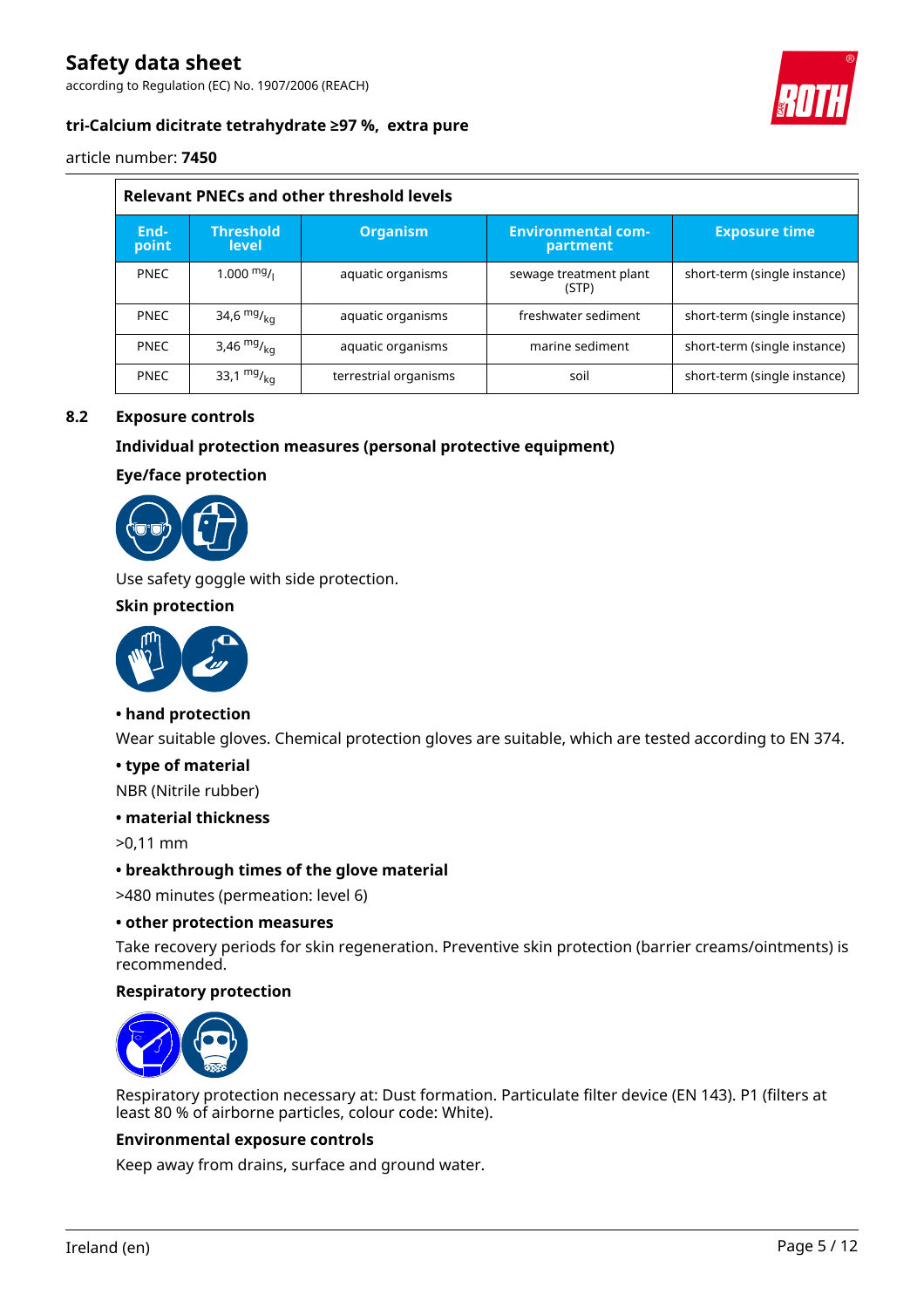according to Regulation (EC) No. 1907/2006 (REACH)



### **tri-Calcium dicitrate tetrahydrate ≥97 %, extra pure**

article number: **7450**

| <b>Relevant PNECs and other threshold levels</b> |                                  |                       |                                       |                              |  |  |
|--------------------------------------------------|----------------------------------|-----------------------|---------------------------------------|------------------------------|--|--|
| End-<br>point                                    | <b>Threshold</b><br><b>level</b> | <b>Organism</b>       | <b>Environmental com-</b><br>partment | <b>Exposure time</b>         |  |  |
| <b>PNEC</b>                                      | $1.000 \frac{mg}{L}$             | aquatic organisms     | sewage treatment plant<br>(STP)       | short-term (single instance) |  |  |
| <b>PNEC</b>                                      | 34,6 $mg/kq$                     | aquatic organisms     | freshwater sediment                   | short-term (single instance) |  |  |
| <b>PNEC</b>                                      | 3,46 $mg/_{ka}$                  | aquatic organisms     | marine sediment                       | short-term (single instance) |  |  |
| <b>PNEC</b>                                      | 33,1 $mg/kq$                     | terrestrial organisms | soil                                  | short-term (single instance) |  |  |

# **8.2 Exposure controls**

### **Individual protection measures (personal protective equipment)**

#### **Eye/face protection**



Use safety goggle with side protection.

#### **Skin protection**



#### **• hand protection**

Wear suitable gloves. Chemical protection gloves are suitable, which are tested according to EN 374.

#### **• type of material**

NBR (Nitrile rubber)

#### **• material thickness**

>0,11 mm

#### **• breakthrough times of the glove material**

>480 minutes (permeation: level 6)

#### **• other protection measures**

Take recovery periods for skin regeneration. Preventive skin protection (barrier creams/ointments) is recommended.

#### **Respiratory protection**



Respiratory protection necessary at: Dust formation. Particulate filter device (EN 143). P1 (filters at least 80 % of airborne particles, colour code: White).

#### **Environmental exposure controls**

Keep away from drains, surface and ground water.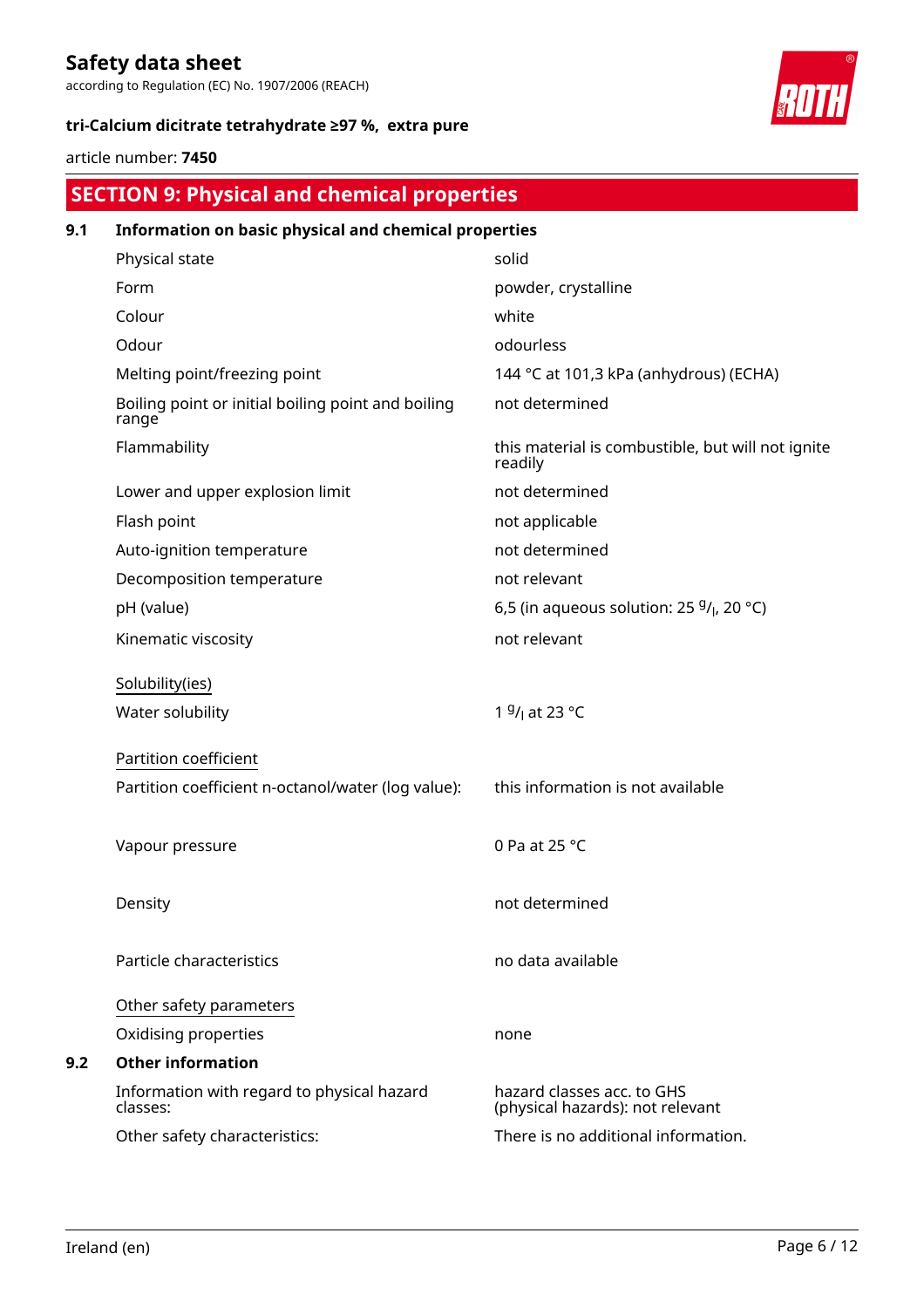according to Regulation (EC) No. 1907/2006 (REACH)





# article number: **7450**

# **SECTION 9: Physical and chemical properties**

| 9.1 | Information on basic physical and chemical properties       |                                                                |  |  |  |
|-----|-------------------------------------------------------------|----------------------------------------------------------------|--|--|--|
|     | Physical state                                              | solid                                                          |  |  |  |
|     | Form                                                        | powder, crystalline                                            |  |  |  |
|     | Colour                                                      | white                                                          |  |  |  |
|     | Odour                                                       | odourless                                                      |  |  |  |
|     | Melting point/freezing point                                | 144 °C at 101,3 kPa (anhydrous) (ECHA)                         |  |  |  |
|     | Boiling point or initial boiling point and boiling<br>range | not determined                                                 |  |  |  |
|     | Flammability                                                | this material is combustible, but will not ignite<br>readily   |  |  |  |
|     | Lower and upper explosion limit                             | not determined                                                 |  |  |  |
|     | Flash point                                                 | not applicable                                                 |  |  |  |
|     | Auto-ignition temperature                                   | not determined                                                 |  |  |  |
|     | Decomposition temperature                                   | not relevant                                                   |  |  |  |
|     | pH (value)                                                  | 6,5 (in aqueous solution: 25 $9/1$ , 20 °C)                    |  |  |  |
|     | Kinematic viscosity                                         | not relevant                                                   |  |  |  |
|     | Solubility(ies)                                             |                                                                |  |  |  |
|     | Water solubility                                            | 1 <sup>g</sup> / <sub>l</sub> at 23 °C                         |  |  |  |
|     | Partition coefficient                                       |                                                                |  |  |  |
|     | Partition coefficient n-octanol/water (log value):          | this information is not available                              |  |  |  |
|     | Vapour pressure                                             | 0 Pa at 25 °C                                                  |  |  |  |
|     | Density                                                     | not determined                                                 |  |  |  |
|     | Particle characteristics                                    | no data available                                              |  |  |  |
|     | Other safety parameters                                     |                                                                |  |  |  |
|     | Oxidising properties                                        | none                                                           |  |  |  |
| 9.2 | <b>Other information</b>                                    |                                                                |  |  |  |
|     | Information with regard to physical hazard<br>classes:      | hazard classes acc. to GHS<br>(physical hazards): not relevant |  |  |  |
|     | Other safety characteristics:                               | There is no additional information.                            |  |  |  |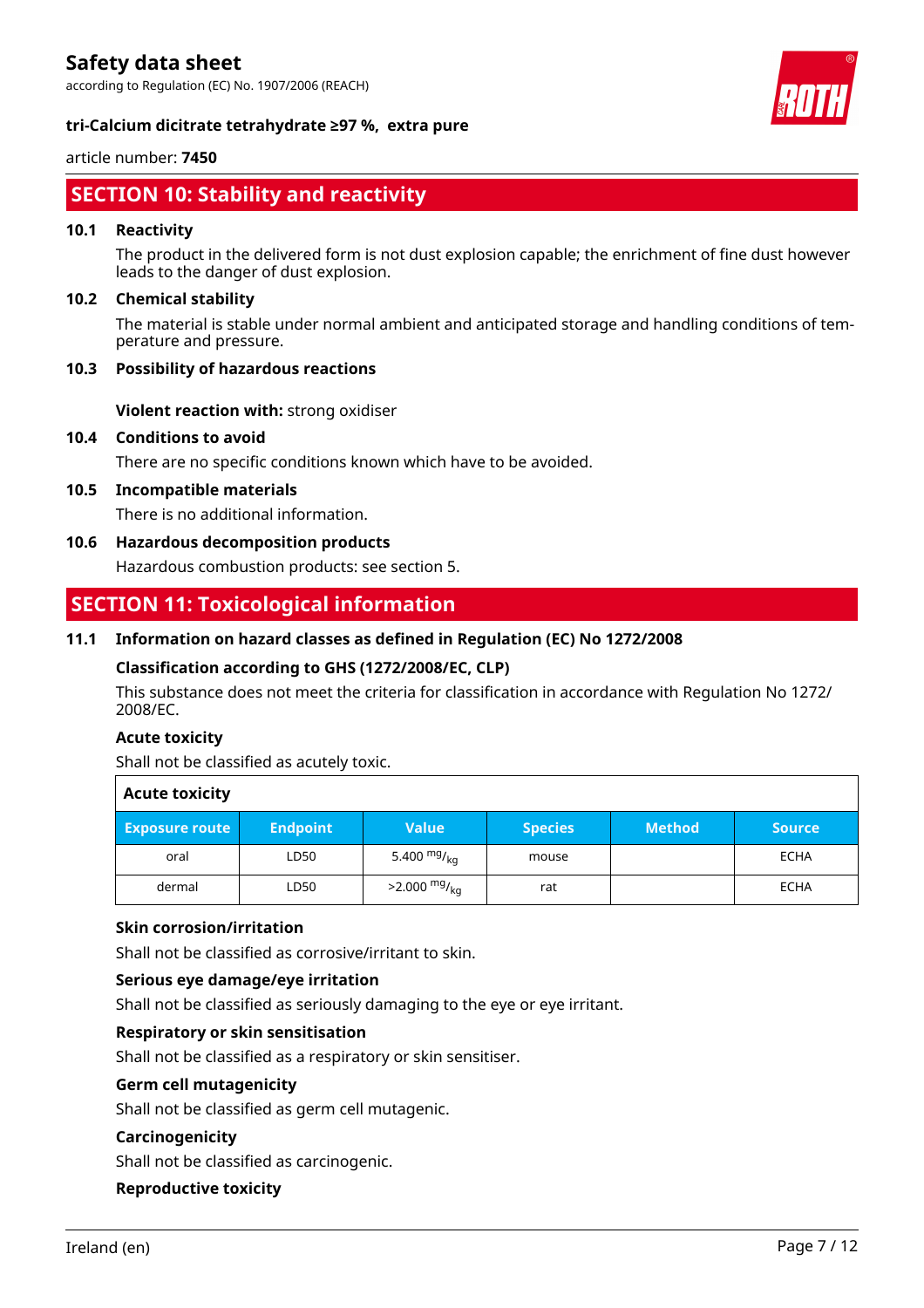according to Regulation (EC) No. 1907/2006 (REACH)



### **tri-Calcium dicitrate tetrahydrate ≥97 %, extra pure**

#### article number: **7450**

# **SECTION 10: Stability and reactivity**

#### **10.1 Reactivity**

The product in the delivered form is not dust explosion capable; the enrichment of fine dust however leads to the danger of dust explosion.

#### **10.2 Chemical stability**

The material is stable under normal ambient and anticipated storage and handling conditions of temperature and pressure.

### **10.3 Possibility of hazardous reactions**

**Violent reaction with:** strong oxidiser

#### **10.4 Conditions to avoid**

There are no specific conditions known which have to be avoided.

#### **10.5 Incompatible materials**

There is no additional information.

### **10.6 Hazardous decomposition products**

Hazardous combustion products: see section 5.

# **SECTION 11: Toxicological information**

#### **11.1 Information on hazard classes as defined in Regulation (EC) No 1272/2008**

#### **Classification according to GHS (1272/2008/EC, CLP)**

This substance does not meet the criteria for classification in accordance with Regulation No 1272/ 2008/EC.

#### **Acute toxicity**

Shall not be classified as acutely toxic.

| <b>Acute toxicity</b> |                 |                        |                |               |               |  |  |
|-----------------------|-----------------|------------------------|----------------|---------------|---------------|--|--|
| <b>Exposure route</b> | <b>Endpoint</b> | <b>Value</b>           | <b>Species</b> | <b>Method</b> | <b>Source</b> |  |  |
| oral                  | LD50            | 5.400 $mg/_{ka}$       | mouse          |               | ECHA          |  |  |
| dermal                | LD50            | $>2.000 \frac{mg}{kg}$ | rat            |               | ECHA          |  |  |

#### **Skin corrosion/irritation**

Shall not be classified as corrosive/irritant to skin.

#### **Serious eye damage/eye irritation**

Shall not be classified as seriously damaging to the eye or eye irritant.

#### **Respiratory or skin sensitisation**

Shall not be classified as a respiratory or skin sensitiser.

# **Germ cell mutagenicity**

Shall not be classified as germ cell mutagenic.

#### **Carcinogenicity**

Shall not be classified as carcinogenic.

#### **Reproductive toxicity**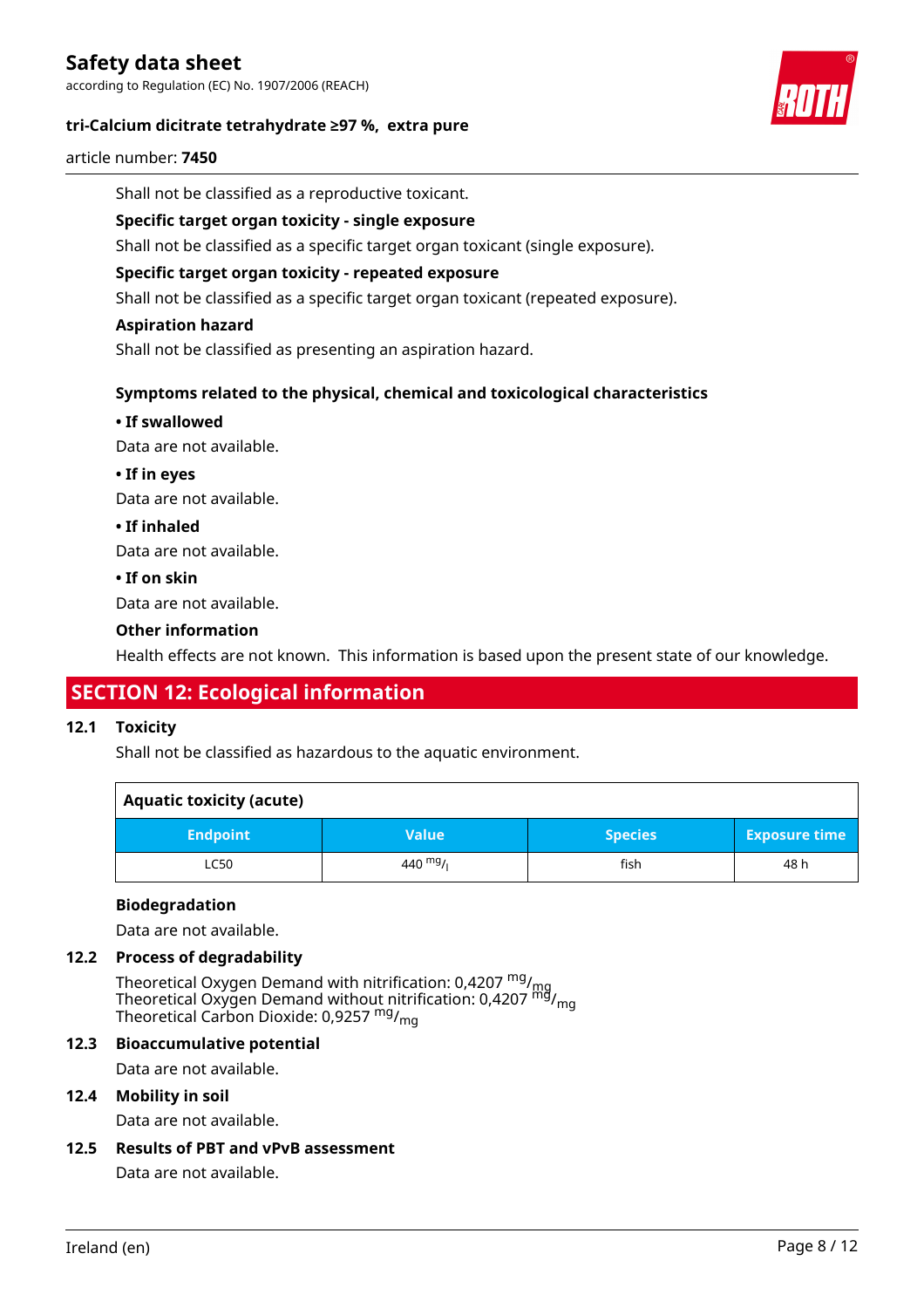according to Regulation (EC) No. 1907/2006 (REACH)

#### **tri-Calcium dicitrate tetrahydrate ≥97 %, extra pure**



article number: **7450**

Shall not be classified as a reproductive toxicant.

#### **Specific target organ toxicity - single exposure**

Shall not be classified as a specific target organ toxicant (single exposure).

#### **Specific target organ toxicity - repeated exposure**

Shall not be classified as a specific target organ toxicant (repeated exposure).

#### **Aspiration hazard**

Shall not be classified as presenting an aspiration hazard.

#### **Symptoms related to the physical, chemical and toxicological characteristics**

#### **• If swallowed**

Data are not available.

**• If in eyes**

Data are not available.

**• If inhaled**

Data are not available.

**• If on skin**

Data are not available.

#### **Other information**

Health effects are not known. This information is based upon the present state of our knowledge.

# **SECTION 12: Ecological information**

#### **12.1 Toxicity**

Shall not be classified as hazardous to the aquatic environment.

| <b>Aquatic toxicity (acute)</b> |              |                |                      |  |  |  |  |
|---------------------------------|--------------|----------------|----------------------|--|--|--|--|
| <b>Endpoint</b>                 | <b>Value</b> | <b>Species</b> | <b>Exposure time</b> |  |  |  |  |
| <b>LC50</b>                     | 440 $mg/$    | fish           | 48 h                 |  |  |  |  |

#### **Biodegradation**

Data are not available.

#### **12.2 Process of degradability**

Theoretical Oxygen Demand with nitrification: 0,4207  $^{\mathsf{mg}}\prime_{\mathsf{mg}}$ Theoretical Oxygen Demand without nitrification: 0,4207 <sup>mg</sup>/<sub>mg</sub> Theoretical Carbon Dioxide: 0,9257 <sup>mg</sup>/<sub>mg</sub>

### **12.3 Bioaccumulative potential**

Data are not available.

### **12.4 Mobility in soil**

Data are not available.

#### **12.5 Results of PBT and vPvB assessment**

Data are not available.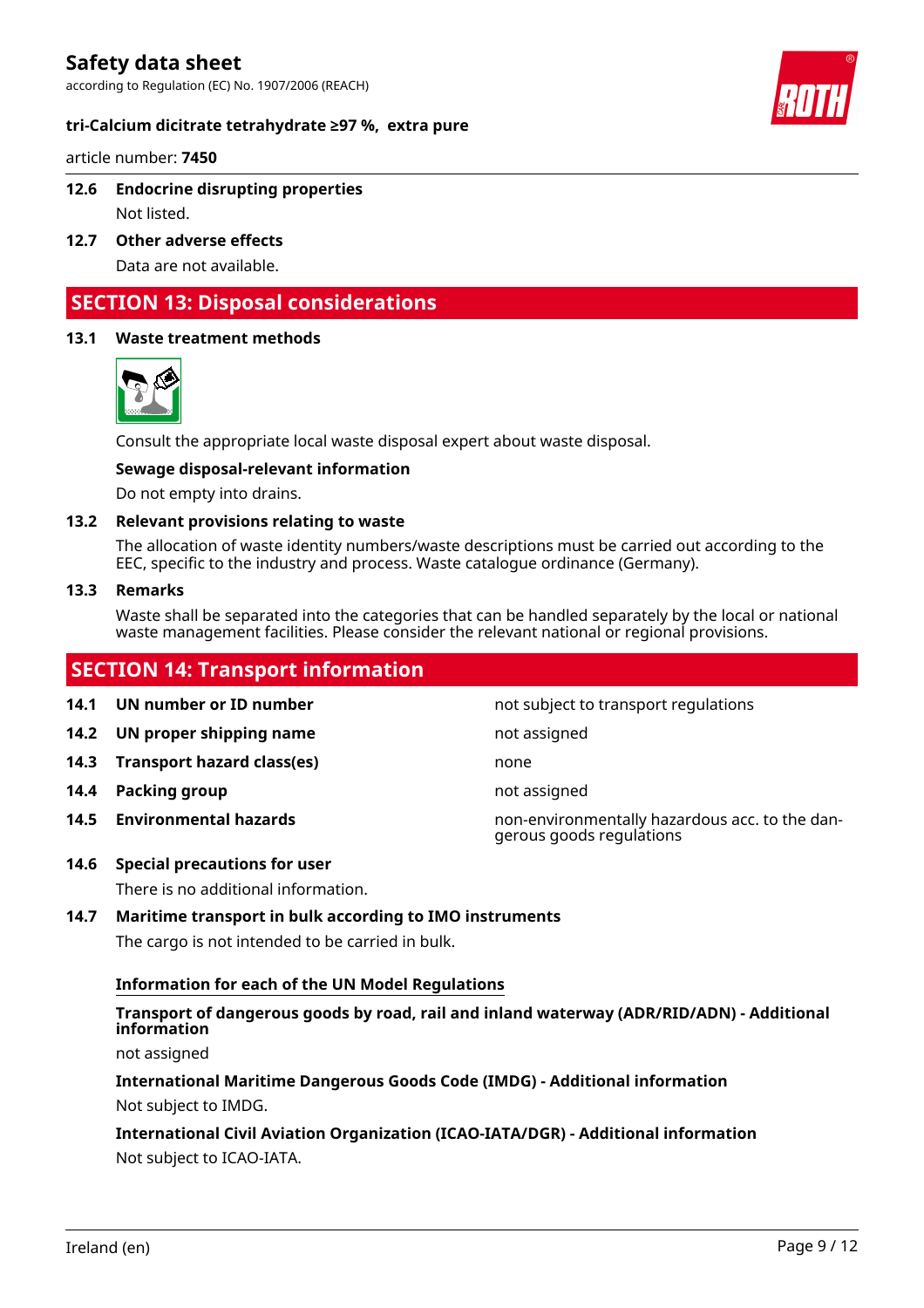according to Regulation (EC) No. 1907/2006 (REACH)

#### **tri-Calcium dicitrate tetrahydrate ≥97 %, extra pure**

article number: **7450**

#### **12.6 Endocrine disrupting properties**

Not listed.

**12.7 Other adverse effects**

Data are not available.

# **SECTION 13: Disposal considerations**

#### **13.1 Waste treatment methods**



Consult the appropriate local waste disposal expert about waste disposal.

#### **Sewage disposal-relevant information**

Do not empty into drains.

#### **13.2 Relevant provisions relating to waste**

The allocation of waste identity numbers/waste descriptions must be carried out according to the EEC, specific to the industry and process. Waste catalogue ordinance (Germany).

#### **13.3 Remarks**

Waste shall be separated into the categories that can be handled separately by the local or national waste management facilities. Please consider the relevant national or regional provisions.

# **SECTION 14: Transport information**

**14.1 UN number or ID number 14.1 UN number** not subject to transport regulations

- **14.2 UN proper shipping name** not assigned
- **14.3 Transport hazard class(es)** none
- **14.4 Packing group not assigned not assigned**
- 

**14.5 Environmental hazards** non-environmentally hazardous acc. to the dangerous goods regulations

# **14.6 Special precautions for user**

There is no additional information.

### **14.7 Maritime transport in bulk according to IMO instruments**

The cargo is not intended to be carried in bulk.

#### **Information for each of the UN Model Regulations**

# **Transport of dangerous goods by road, rail and inland waterway (ADR/RID/ADN) - Additional information**

not assigned

**International Maritime Dangerous Goods Code (IMDG) - Additional information** Not subject to IMDG.

**International Civil Aviation Organization (ICAO-IATA/DGR) - Additional information** Not subject to ICAO-IATA.

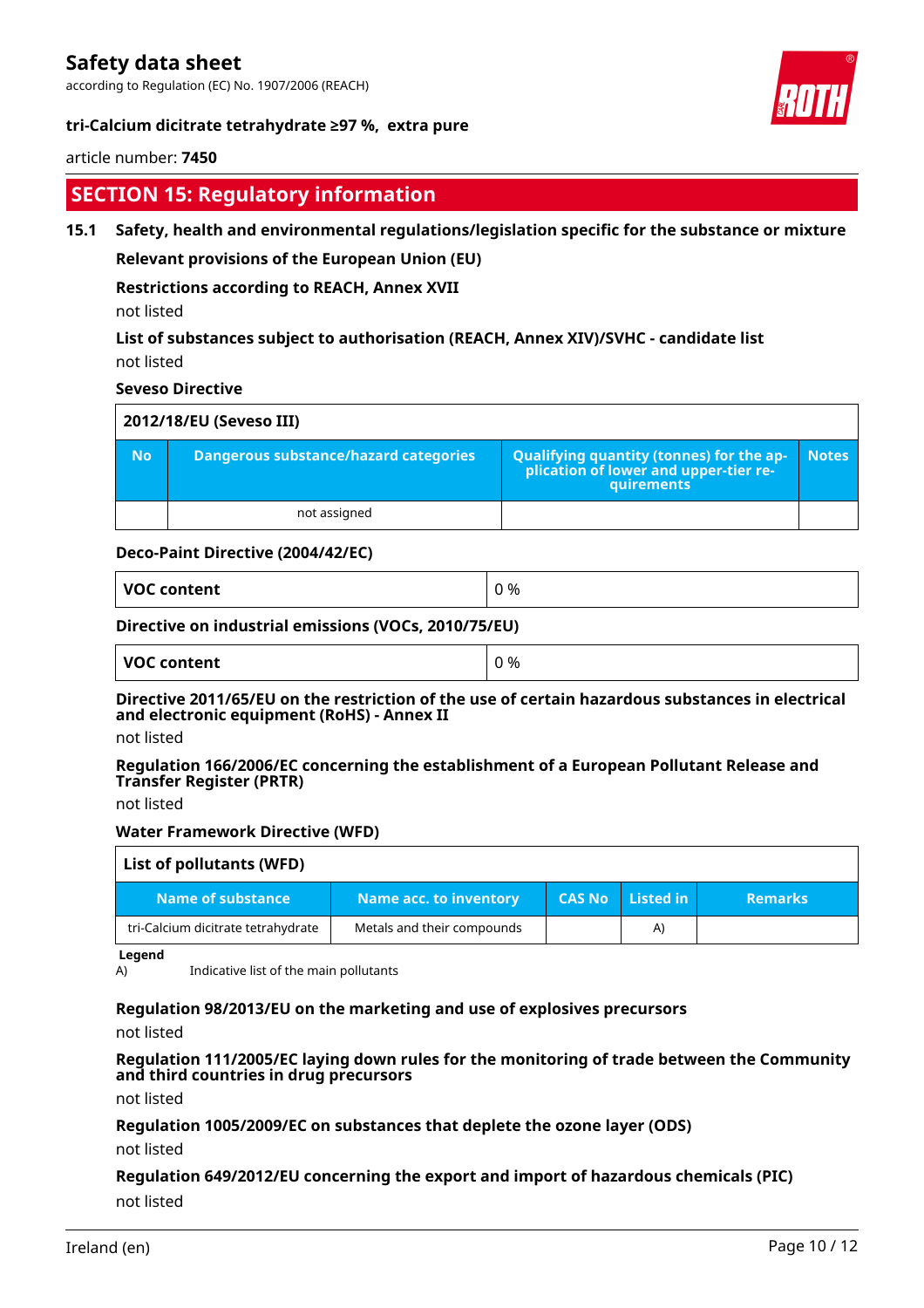according to Regulation (EC) No. 1907/2006 (REACH)

#### **tri-Calcium dicitrate tetrahydrate ≥97 %, extra pure**



#### article number: **7450**

# **SECTION 15: Regulatory information**

#### **15.1 Safety, health and environmental regulations/legislation specific for the substance or mixture**

**Relevant provisions of the European Union (EU)**

#### **Restrictions according to REACH, Annex XVII**

not listed

### **List of substances subject to authorisation (REACH, Annex XIV)/SVHC - candidate list** not listed

#### **Seveso Directive**

| 2012/18/EU (Seveso III) |                                       |                                                                                                   |              |  |  |  |  |  |
|-------------------------|---------------------------------------|---------------------------------------------------------------------------------------------------|--------------|--|--|--|--|--|
| <b>No</b>               | Dangerous substance/hazard categories | Qualifying quantity (tonnes) for the ap-<br>  plication of lower and upper-tier re-<br>quirements | <b>Notes</b> |  |  |  |  |  |
|                         | not assigned                          |                                                                                                   |              |  |  |  |  |  |

#### **Deco-Paint Directive (2004/42/EC)**

| <b>VOC content</b><br>_ _ _ _ _ |
|---------------------------------|
|---------------------------------|

#### **Directive on industrial emissions (VOCs, 2010/75/EU)**

| <b>VOC content</b> | %<br>$\sim$<br>v |
|--------------------|------------------|
|--------------------|------------------|

### **Directive 2011/65/EU on the restriction of the use of certain hazardous substances in electrical and electronic equipment (RoHS) - Annex II**

not listed

#### **Regulation 166/2006/EC concerning the establishment of a European Pollutant Release and Transfer Register (PRTR)**

not listed

#### **Water Framework Directive (WFD)**

| List of pollutants (WFD)           |                            |               |           |                |  |  |  |
|------------------------------------|----------------------------|---------------|-----------|----------------|--|--|--|
| Name of substance                  | Name acc. to inventory     | <b>CAS No</b> | Listed in | <b>Remarks</b> |  |  |  |
| tri-Calcium dicitrate tetrahydrate | Metals and their compounds |               | A)        |                |  |  |  |

**Legend**

A) Indicative list of the main pollutants

#### **Regulation 98/2013/EU on the marketing and use of explosives precursors**

not listed

#### **Regulation 111/2005/EC laying down rules for the monitoring of trade between the Community and third countries in drug precursors**

not listed

#### **Regulation 1005/2009/EC on substances that deplete the ozone layer (ODS)**

not listed

### **Regulation 649/2012/EU concerning the export and import of hazardous chemicals (PIC)** not listed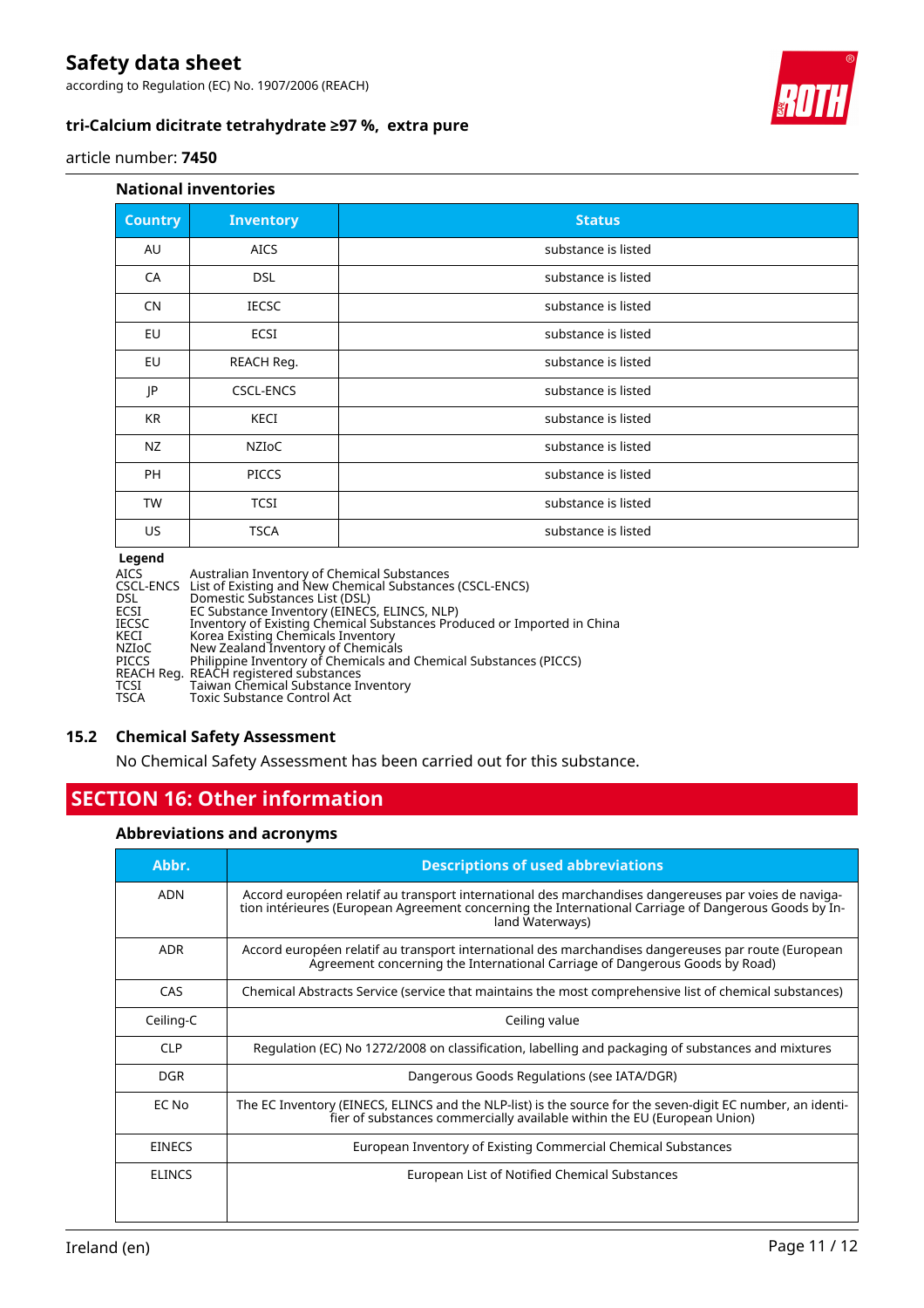according to Regulation (EC) No. 1907/2006 (REACH)

### **tri-Calcium dicitrate tetrahydrate ≥97 %, extra pure**



#### article number: **7450**

#### **National inventories**

| <b>Country</b> | <b>Inventory</b> | <b>Status</b>       |
|----------------|------------------|---------------------|
| AU             | <b>AICS</b>      | substance is listed |
| CA             | <b>DSL</b>       | substance is listed |
| <b>CN</b>      | <b>IECSC</b>     | substance is listed |
| EU             | ECSI             | substance is listed |
| EU             | REACH Reg.       | substance is listed |
| JP             | <b>CSCL-ENCS</b> | substance is listed |
| <b>KR</b>      | KECI             | substance is listed |
| NZ             | NZIOC            | substance is listed |
| <b>PH</b>      | <b>PICCS</b>     | substance is listed |
| <b>TW</b>      | <b>TCSI</b>      | substance is listed |
| <b>US</b>      | <b>TSCA</b>      | substance is listed |
|                |                  |                     |

#### **Legend**

| Legena       |                                                                         |
|--------------|-------------------------------------------------------------------------|
| AICS         | Australian Inventory of Chemical Substances                             |
|              | CSCL-ENCS List of Existing and New Chemical Substances (CSCL-ENCS)      |
| DSL          | Domestic Substances List (DSL)                                          |
| ECSI         | EC Substance Inventory (EINECS, ELINCS, NLP)                            |
| IECSC        | Inventory of Existing Chemical Substances Produced or Imported in China |
| KECI         | Korea Existing Chemicals Inventory                                      |
| NZIoC        | New Zealand Inventory of Chemicals                                      |
| <b>PICCS</b> | Philippine Inventory of Chemicals and Chemical Substances (PICCS)       |
|              | REACH Reg. REACH registered substances                                  |
| TCSI         | Taiwan Chemical Substance Inventory                                     |
| TSCA         | <b>Toxic Substance Control Act</b>                                      |
|              |                                                                         |

#### **15.2 Chemical Safety Assessment**

No Chemical Safety Assessment has been carried out for this substance.

# **SECTION 16: Other information**

### **Abbreviations and acronyms**

| Abbr.         | <b>Descriptions of used abbreviations</b>                                                                                                                                                                                       |
|---------------|---------------------------------------------------------------------------------------------------------------------------------------------------------------------------------------------------------------------------------|
| ADN           | Accord européen relatif au transport international des marchandises dangereuses par voies de naviga-<br>tion intérieures (European Agreement concerning the International Carriage of Dangerous Goods by In-<br>land Waterways) |
| <b>ADR</b>    | Accord européen relatif au transport international des marchandises dangereuses par route (European<br>Agreement concerning the International Carriage of Dangerous Goods by Road)                                              |
| CAS           | Chemical Abstracts Service (service that maintains the most comprehensive list of chemical substances)                                                                                                                          |
| Ceiling-C     | Ceiling value                                                                                                                                                                                                                   |
| <b>CLP</b>    | Regulation (EC) No 1272/2008 on classification, labelling and packaging of substances and mixtures                                                                                                                              |
| DGR.          | Dangerous Goods Regulations (see IATA/DGR)                                                                                                                                                                                      |
| EC No         | The EC Inventory (EINECS, ELINCS and the NLP-list) is the source for the seven-digit EC number, an identi-<br>fier of substances commercially available within the EU (European Union)                                          |
| <b>EINECS</b> | European Inventory of Existing Commercial Chemical Substances                                                                                                                                                                   |
| <b>ELINCS</b> | European List of Notified Chemical Substances                                                                                                                                                                                   |